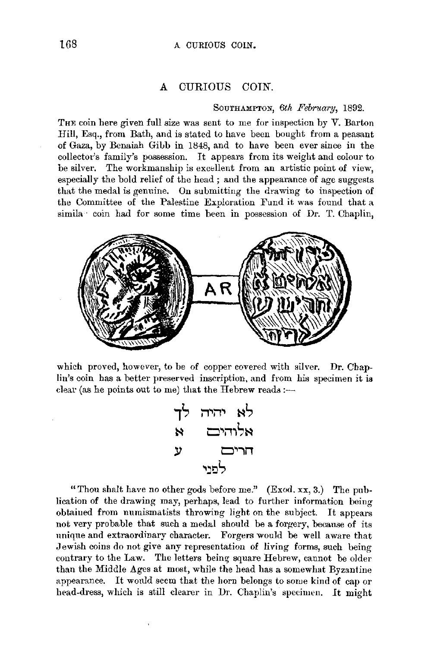## **A** CURIOUS COIN.

## SOUTHAMPTON, *6th February,* 1892.

THE coin here given full size was sent to me for inspection by *V*. Barton Hill, Esq., from Bath, and is stated to have been bought from a peasant of Gaza, by Benaiah Gibb in 1848, and to have been ever since in the collector's family's possession. It appears from its weight and colour to be silver. The workmanship is excellent from an artistic point of view, especially the bold relief of the head; and the appearance of age suggests that the medal is genuine. On submitting the drawing to inspection of the Committee of the Palestine Exploration Fund it was found that a simila coin had for some time been in possession of Dr. T. Chaplin,



which proved, however, to be of copper covered with silver. Dr. Chaplin's coin has a better preserved inscription, and from his specimen it is clear (as he points out to me) that the Hebrew reads: $-$ 

$$
\begin{array}{cc}\n\mathbf{r} & \mathbf{r} & \mathbf{r} \\
\mathbf{r} & \mathbf{r} & \mathbf{r} \\
\mathbf{r} & \mathbf{r} & \mathbf{r} \\
\mathbf{r} & \mathbf{r} & \mathbf{r} \\
\mathbf{r} & \mathbf{r} & \mathbf{r} \\
\mathbf{r} & \mathbf{r} & \mathbf{r} \\
\mathbf{r} & \mathbf{r} & \mathbf{r} \\
\mathbf{r} & \mathbf{r} & \mathbf{r} \\
\mathbf{r} & \mathbf{r} & \mathbf{r} \\
\mathbf{r} & \mathbf{r} & \mathbf{r} \\
\mathbf{r} & \mathbf{r} & \mathbf{r} \\
\mathbf{r} & \mathbf{r} & \mathbf{r} \\
\mathbf{r} & \mathbf{r} & \mathbf{r} \\
\mathbf{r} & \mathbf{r} & \mathbf{r} \\
\mathbf{r} & \mathbf{r} & \mathbf{r} \\
\mathbf{r} & \mathbf{r} & \mathbf{r} \\
\mathbf{r} & \mathbf{r} & \mathbf{r} \\
\mathbf{r} & \mathbf{r} & \mathbf{r} \\
\mathbf{r} & \mathbf{r} & \mathbf{r} \\
\mathbf{r} & \mathbf{r} & \mathbf{r} \\
\mathbf{r} & \mathbf{r} & \mathbf{r} \\
\mathbf{r} & \mathbf{r} & \mathbf{r} \\
\mathbf{r} & \mathbf{r} & \mathbf{r} \\
\mathbf{r} & \mathbf{r} & \mathbf{r} \\
\mathbf{r} & \mathbf{r} & \mathbf{r} \\
\mathbf{r} & \mathbf{r} & \mathbf{r} \\
\mathbf{r} & \mathbf{r} & \mathbf{r} \\
\mathbf{r} & \mathbf{r} & \mathbf{r} \\
\mathbf{r} & \mathbf{r} & \mathbf{r} \\
\mathbf{r} & \mathbf{r} & \mathbf{r} \\
\mathbf{r} & \mathbf{r} & \mathbf{r} \\
\mathbf{r} & \mathbf{r} & \mathbf{r} \\
\mathbf{r} & \mathbf{r} & \mathbf{r} \\
\mathbf{r} & \mathbf{r} & \mathbf{r} \\
\mathbf{r} & \mathbf{r} & \mathbf{r} \\
\mathbf{r} & \mathbf{r} & \mathbf
$$

"Thou shalt have no other gods before me." (Exod. xx, 3.) The publication of the drawing may, perhaps, lead to further information being obtained from numismatists throwing light on the subject. It appears not very probable that such a medal should be a forgery, because of its unique and extraordinary character. Forgers would be well aware that Jewish coins do not give any representation of living forms, such being contrary to the Law. The letters being square Hebrew, cannot be older than the Middle Ages at most, while the head has a somewhat Byzantine appearance. It wonld seem that the horn belongs to some kind of cap or head-dress, which is still clearer in Dr. Chaplin's specimen. *lt* might